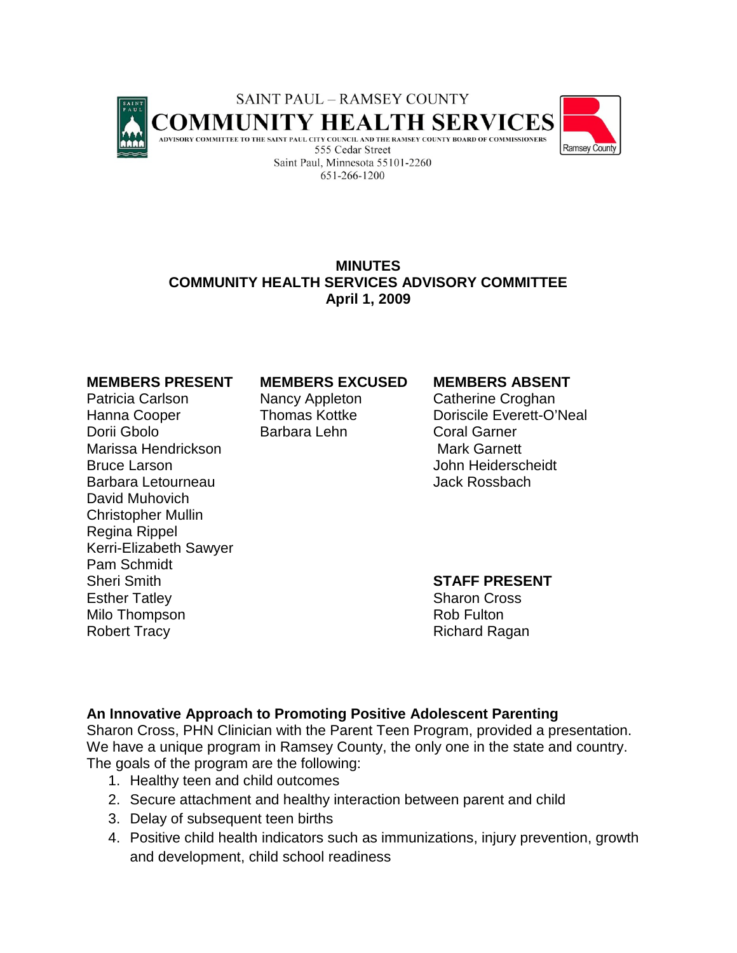

# **MINUTES COMMUNITY HEALTH SERVICES ADVISORY COMMITTEE April 1, 2009**

Patricia Carlson **Nancy Appleton** Catherine Croghan Dorii Gbolo **Barbara Lehn** Coral Garner Marissa Hendrickson Mark Garnett Bruce Larson **Bruce Larson** John Heiderscheidt Barbara Letourneau **Data and School State Adam** Jack Rossbach David Muhovich Christopher Mullin Regina Rippel Kerri-Elizabeth Sawyer Pam Schmidt Sheri Smith **STAFF PRESENT** Esther Tatley Sharon Cross Milo Thompson **Rob Fulton** Rob Fulton Robert Tracy **Richard Ragan** 

### **MEMBERS PRESENT MEMBERS EXCUSED MEMBERS ABSENT**

Hanna Cooper Thomas Kottke Doriscile Everett-O'Neal

## **An Innovative Approach to Promoting Positive Adolescent Parenting**

Sharon Cross, PHN Clinician with the Parent Teen Program, provided a presentation. We have a unique program in Ramsey County, the only one in the state and country. The goals of the program are the following:

- 1. Healthy teen and child outcomes
- 2. Secure attachment and healthy interaction between parent and child
- 3. Delay of subsequent teen births
- 4. Positive child health indicators such as immunizations, injury prevention, growth and development, child school readiness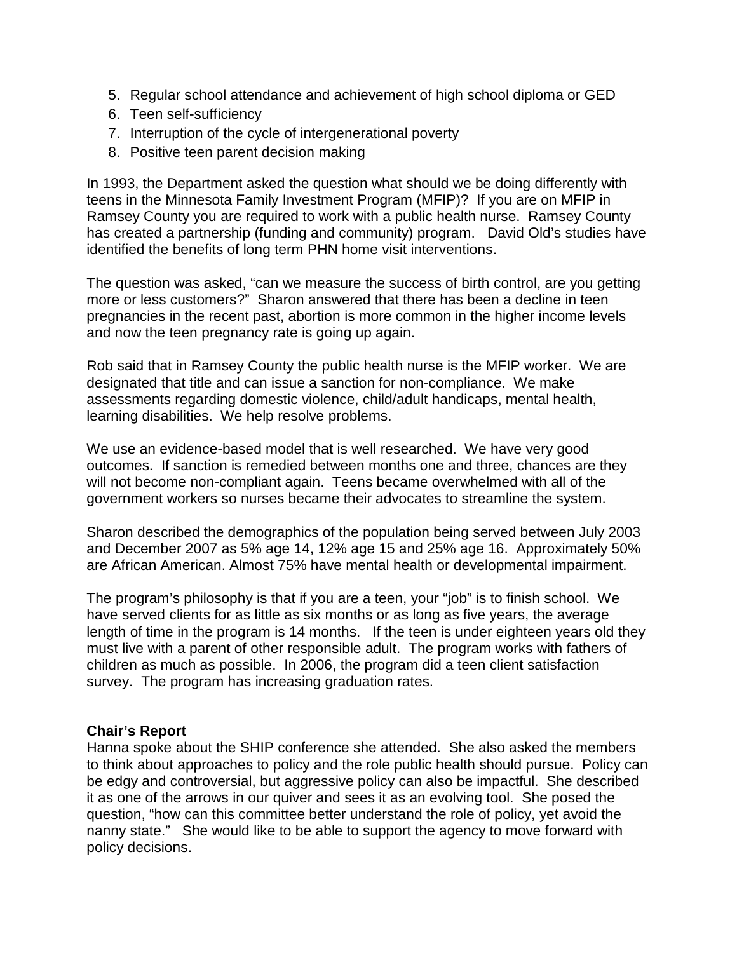- 5. Regular school attendance and achievement of high school diploma or GED
- 6. Teen self-sufficiency
- 7. Interruption of the cycle of intergenerational poverty
- 8. Positive teen parent decision making

In 1993, the Department asked the question what should we be doing differently with teens in the Minnesota Family Investment Program (MFIP)? If you are on MFIP in Ramsey County you are required to work with a public health nurse. Ramsey County has created a partnership (funding and community) program. David Old's studies have identified the benefits of long term PHN home visit interventions.

The question was asked, "can we measure the success of birth control, are you getting more or less customers?" Sharon answered that there has been a decline in teen pregnancies in the recent past, abortion is more common in the higher income levels and now the teen pregnancy rate is going up again.

Rob said that in Ramsey County the public health nurse is the MFIP worker. We are designated that title and can issue a sanction for non-compliance. We make assessments regarding domestic violence, child/adult handicaps, mental health, learning disabilities. We help resolve problems.

We use an evidence-based model that is well researched. We have very good outcomes. If sanction is remedied between months one and three, chances are they will not become non-compliant again. Teens became overwhelmed with all of the government workers so nurses became their advocates to streamline the system.

Sharon described the demographics of the population being served between July 2003 and December 2007 as 5% age 14, 12% age 15 and 25% age 16. Approximately 50% are African American. Almost 75% have mental health or developmental impairment.

The program's philosophy is that if you are a teen, your "job" is to finish school. We have served clients for as little as six months or as long as five years, the average length of time in the program is 14 months. If the teen is under eighteen years old they must live with a parent of other responsible adult. The program works with fathers of children as much as possible. In 2006, the program did a teen client satisfaction survey. The program has increasing graduation rates.

## **Chair's Report**

Hanna spoke about the SHIP conference she attended. She also asked the members to think about approaches to policy and the role public health should pursue. Policy can be edgy and controversial, but aggressive policy can also be impactful. She described it as one of the arrows in our quiver and sees it as an evolving tool. She posed the question, "how can this committee better understand the role of policy, yet avoid the nanny state." She would like to be able to support the agency to move forward with policy decisions.